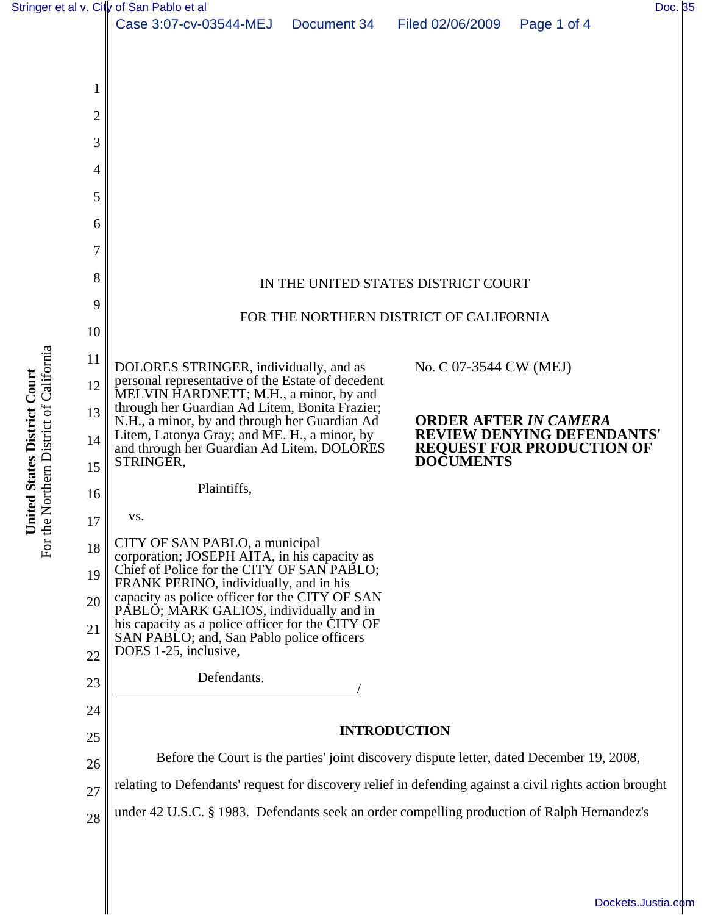





22 23 24 25 DOES 1-25, inclusive, Defendants.

## **INTRODUCTION**

26 27 Before the Court is the parties' joint discovery dispute letter, dated December 19, 2008, relating to Defendants' request for discovery relief in defending against a civil rights action brought

28 under 42 U.S.C. § 1983. Defendants seek an order compelling production of Ralph Hernandez's

For the Northern District of California For the Northern District of California United States District Court **United States District Court**

[Dockets.Justia.com](http://dockets.justia.com/)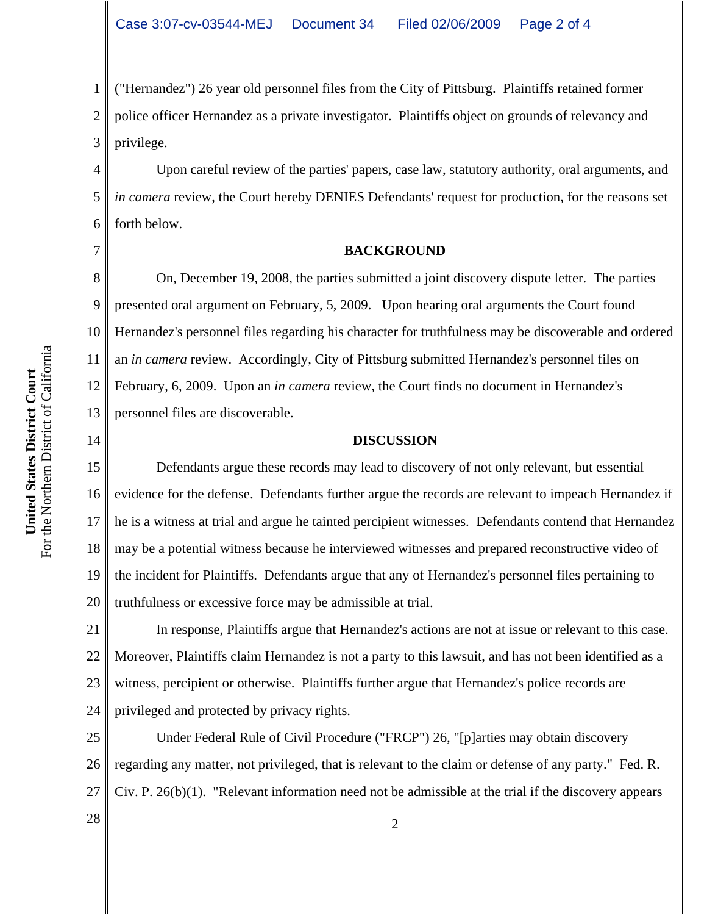1 2 3 ("Hernandez") 26 year old personnel files from the City of Pittsburg. Plaintiffs retained former police officer Hernandez as a private investigator. Plaintiffs object on grounds of relevancy and privilege.

6 Upon careful review of the parties' papers, case law, statutory authority, oral arguments, and *in camera* review, the Court hereby DENIES Defendants' request for production, for the reasons set forth below.

4

5

7

14

## **BACKGROUND**

8 9 10 11 12 13 On, December 19, 2008, the parties submitted a joint discovery dispute letter. The parties presented oral argument on February, 5, 2009. Upon hearing oral arguments the Court found Hernandez's personnel files regarding his character for truthfulness may be discoverable and ordered an *in camera* review. Accordingly, City of Pittsburg submitted Hernandez's personnel files on February, 6, 2009. Upon an *in camera* review, the Court finds no document in Hernandez's personnel files are discoverable.

## **DISCUSSION**

15 16 17 18 19 20 Defendants argue these records may lead to discovery of not only relevant, but essential evidence for the defense. Defendants further argue the records are relevant to impeach Hernandez if he is a witness at trial and argue he tainted percipient witnesses. Defendants contend that Hernandez may be a potential witness because he interviewed witnesses and prepared reconstructive video of the incident for Plaintiffs. Defendants argue that any of Hernandez's personnel files pertaining to truthfulness or excessive force may be admissible at trial.

21 22 23 24 In response, Plaintiffs argue that Hernandez's actions are not at issue or relevant to this case. Moreover, Plaintiffs claim Hernandez is not a party to this lawsuit, and has not been identified as a witness, percipient or otherwise. Plaintiffs further argue that Hernandez's police records are privileged and protected by privacy rights.

25 26 27 Under Federal Rule of Civil Procedure ("FRCP") 26, "[p]arties may obtain discovery regarding any matter, not privileged, that is relevant to the claim or defense of any party." Fed. R. Civ. P. 26(b)(1). "Relevant information need not be admissible at the trial if the discovery appears

For the Northern District of California For the Northern District of California United States District Court **United States District Court**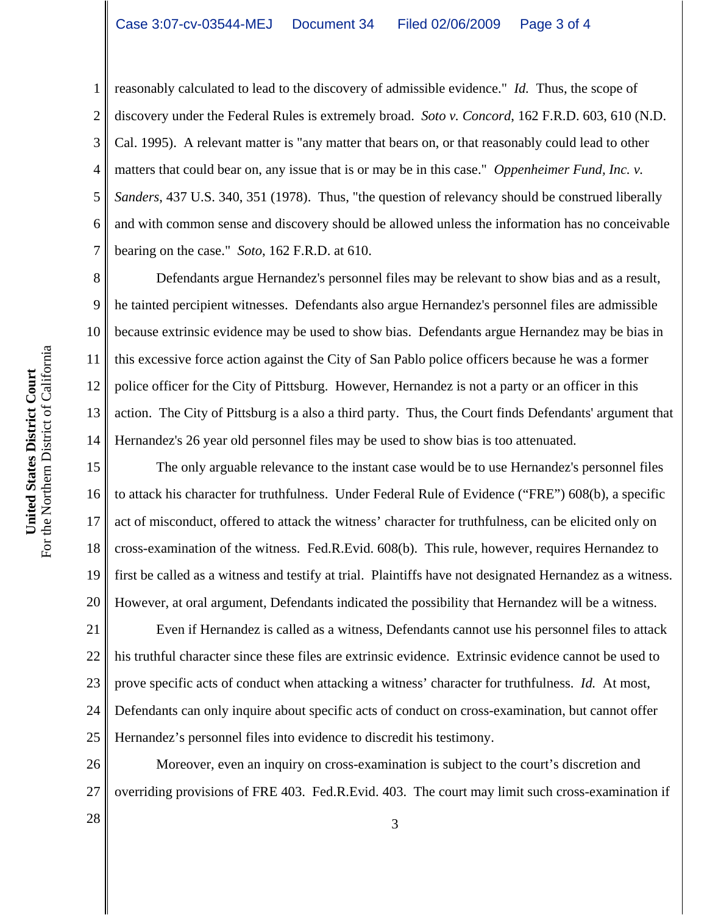2 3 4 5 6 7 reasonably calculated to lead to the discovery of admissible evidence." *Id.* Thus, the scope of discovery under the Federal Rules is extremely broad. *Soto v. Concord*, 162 F.R.D. 603, 610 (N.D. Cal. 1995). A relevant matter is "any matter that bears on, or that reasonably could lead to other matters that could bear on, any issue that is or may be in this case." *Oppenheimer Fund, Inc. v. Sanders*, 437 U.S. 340, 351 (1978). Thus, "the question of relevancy should be construed liberally and with common sense and discovery should be allowed unless the information has no conceivable bearing on the case." *Soto*, 162 F.R.D. at 610.

8 9 10 11 12 13 14 Defendants argue Hernandez's personnel files may be relevant to show bias and as a result, he tainted percipient witnesses. Defendants also argue Hernandez's personnel files are admissible because extrinsic evidence may be used to show bias. Defendants argue Hernandez may be bias in this excessive force action against the City of San Pablo police officers because he was a former police officer for the City of Pittsburg. However, Hernandez is not a party or an officer in this action. The City of Pittsburg is a also a third party. Thus, the Court finds Defendants' argument that Hernandez's 26 year old personnel files may be used to show bias is too attenuated.

15 16 17 18 19 20 The only arguable relevance to the instant case would be to use Hernandez's personnel files to attack his character for truthfulness. Under Federal Rule of Evidence ("FRE") 608(b), a specific act of misconduct, offered to attack the witness' character for truthfulness, can be elicited only on cross-examination of the witness. Fed.R.Evid. 608(b). This rule, however, requires Hernandez to first be called as a witness and testify at trial. Plaintiffs have not designated Hernandez as a witness. However, at oral argument, Defendants indicated the possibility that Hernandez will be a witness.

21 22 23 24 25 Even if Hernandez is called as a witness, Defendants cannot use his personnel files to attack his truthful character since these files are extrinsic evidence. Extrinsic evidence cannot be used to prove specific acts of conduct when attacking a witness' character for truthfulness. *Id.* At most, Defendants can only inquire about specific acts of conduct on cross-examination, but cannot offer Hernandez's personnel files into evidence to discredit his testimony.

26 27 Moreover, even an inquiry on cross-examination is subject to the court's discretion and overriding provisions of FRE 403. Fed.R.Evid. 403. The court may limit such cross-examination if

For the Northern District of California For the Northern District of California United States District Court **United States District Court**

1

 $\begin{array}{|c|c|c|c|c|}\n \hline\n 28 & 3 \\
\hline\n \end{array}$